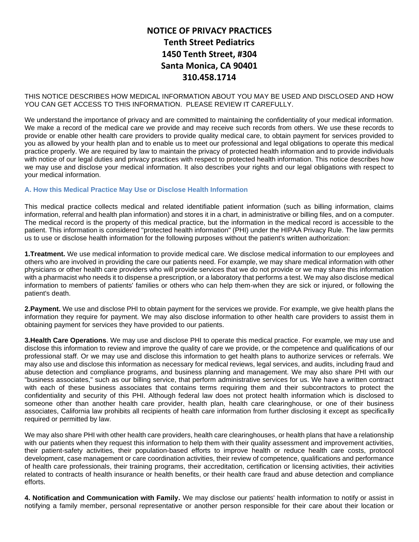# **NOTICE OF PRIVACY PRACTICES Tenth Street Pediatrics 1450 Tenth Street, #304 Santa Monica, CA 90401 310.458.1714**

THIS NOTICE DESCRIBES HOW MEDICAL INFORMATION ABOUT YOU MAY BE USED AND DISCLOSED AND HOW YOU CAN GET ACCESS TO THIS INFORMATION. PLEASE REVIEW IT CAREFULLY.

We understand the importance of privacy and are committed to maintaining the confidentiality of your medical information. We make a record of the medical care we provide and may receive such records from others. We use these records to provide or enable other health care providers to provide quality medical care, to obtain payment for services provided to you as allowed by your health plan and to enable us to meet our professional and legal obligations to operate this medical practice properly. We are required by law to maintain the privacy of protected health information and to provide individuals with notice of our legal duties and privacy practices with respect to protected health information. This notice describes how we may use and disclose your medical information. It also describes your rights and our legal obligations with respect to your medical information.

### **A. How this Medical Practice May Use or Disclose Health Information**

This medical practice collects medical and related identifiable patient information (such as billing information, claims information, referral and health plan information) and stores it in a chart, in administrative or billing files, and on a computer. The medical record is the property of this medical practice, but the information in the medical record is accessible to the patient. This information is considered "protected health information" (PHI) under the HIPAA Privacy Rule. The law permits us to use or disclose health information for the following purposes without the patient's written authorization:

**1.Treatment.** We use medical information to provide medical care. We disclose medical information to our employees and others who are involved in providing the care our patients need. For example, we may share medical information with other physicians or other health care providers who will provide services that we do not provide or we may share this information with a pharmacist who needs it to dispense a prescription, or a laboratory that performs a test. We may also disclose medical information to members of patients' families or others who can help them-when they are sick or injured, or following the patient's death.

**2.Payment.** We use and disclose PHI to obtain payment for the services we provide. For example, we give health plans the information they require for payment. We may also disclose information to other health care providers to assist them in obtaining payment for services they have provided to our patients.

**3.Health Care Operations**. We may use and disclose PHI to operate this medical practice. For example, we may use and disclose this information to review and improve the quality of care we provide, or the competence and qualifications of our professional staff. Or we may use and disclose this information to get health plans to authorize services or referrals. We may also use and disclose this information as necessary for medical reviews, legal services, and audits, including fraud and abuse detection and compliance programs, and business planning and management. We may also share PHI with our "business associates," such as our billing service, that perform administrative services for us. We have a written contract with each of these business associates that contains terms requiring them and their subcontractors to protect the confidentiality and security of this PHI. Although federal law does not protect health information which is disclosed to someone other than another health care provider, health plan, health care clearinghouse, or one of their business associates, California law prohibits all recipients of health care information from further disclosing it except as specifically required or permitted by law.

We may also share PHI with other health care providers, health care clearinghouses, or health plans that have a relationship with our patients when they request this information to help them with their quality assessment and improvement activities, their patient-safety activities, their population-based efforts to improve health or reduce health care costs, protocol development, case management or care coordination activities, their review of competence, qualifications and performance of health care professionals, their training programs, their accreditation, certification or licensing activities, their activities related to contracts of health insurance or health benefits, or their health care fraud and abuse detection and compliance efforts.

**4. Notification and Communication with Family.** We may disclose our patients' health information to notify or assist in notifying a family member, personal representative or another person responsible for their care about their location or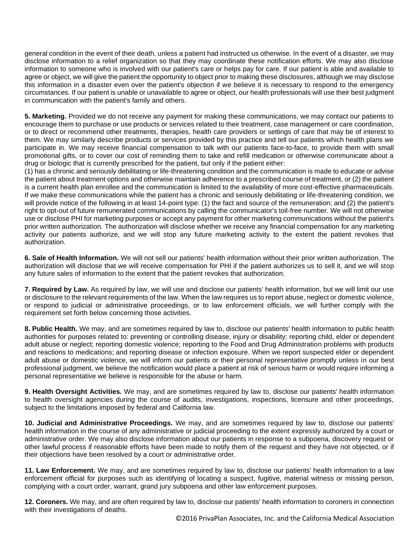general condition in the event of their death, unless a patient had instructed us otherwise. In the event of a disaster, we may disclose information to a relief organization so that they may coordinate these notification efforts. We may also disclose information to someone who is involved with our patient's care or helps pay for care. If our patient is able and available to agree or object, we will give the patient the opportunity to object prior to making these disclosures, although we may disclose this information in a disaster even over the patient's objection if we believe it is necessary to respond to the emergency circumstances. If our patient is unable or unavailable to agree or object, our health professionals will use their best judgment in communication with the patient's family and others.

**5. Marketing.** Provided we do not receive any payment for making these communications, we may contact our patients to encourage them to purchase or use products or services related to their treatment, case management or care coordination, or to direct or recommend other treatments, therapies, health care providers or settings of care that may be of interest to them. We may similarly describe products or services provided by this practice and tell our patients which health plans we participate in. We may receive financial compensation to talk with our patients face-to-face, to provide them with small promotional gifts, or to cover our cost of reminding them to take and refill medication or otherwise communicate about a drug or biologic that is currently prescribed for the patient, but only if the patient either:

(1) has a chronic and seriously debilitating or life-threatening condition and the communication is made to educate or advise the patient about treatment options and otherwise maintain adherence to a prescribed course of treatment, or (2) the patient is a current health plan enrollee and the communication is limited to the availability of more cost-effective pharmaceuticals. If we make these communications while the patient has a chronic and seriously debilitating or life-threatening condition, we will provide notice of the following in at least 14-point type: (1) the fact and source of the remuneration; and (2) the patient's right to opt-out of future remunerated communications by calling the communicator's toil-free number. We will not otherwise use or disclose PHI for marketing purposes or accept any payment for other marketing communications without the patient's prior written authorization. The authorization will disclose whether we receive any financial compensation for any marketing activity our patients authorize, and we will stop any future marketing activity to the extent the patient revokes that authorization.

**6. Sale of Health Information.** We will not sell our patients' health information without their prior written authorization. The authorization will disclose that we will receive compensation for PHI if the patient authorizes us to sell it, and we will stop any future sales of information to the extent that the patient revokes that authorization.

**7. Required by Law.** As required by law, we will use and disclose our patients' health information, but we will limit our use or disclosure to the relevant requirements of the law. When the law requires us to report abuse, neglect or domestic violence, or respond to judicial or administrative proceedings, or to law enforcement officials, we will further comply with the requirement set forth below concerning those activities.

**8. Public Health.** We may, and are sometimes required by law to, disclose our patients' health information to public health authorities for purposes related to: preventing or controlling disease, injury or disability; reporting child, elder or dependent adult abuse or neglect; reporting domestic violence; reporting to the Food and Drug Administration problems with products and reactions to medications; and reporting disease or infection exposure. When we report suspected elder or dependent adult abuse or domestic violence, we will inform our patients or their personal representative promptly unless in our best professional judgment, we believe the notification would place a patient at risk of serious harm or would require informing a personal representative we believe is responsible for the abuse or harm.

**9. Health Oversight Activities.** We may, and are sometimes required by law to, disclose our patients' health information to health oversight agencies during the course of audits, investigations, inspections, licensure and other proceedings, subject to the limitations imposed by federal and California law.

**10. Judicial and Administrative Proceedings.** We may, and are sometimes required by law to, disclose our patients' health information in the course of any administrative or judicial proceeding to the extent expressly authorized by a court or administrative order. We may also disclose information about our patients in response to a subpoena, discovery request or other lawful process if reasonable efforts have been made to notify them of the request and they have not objected, or if their objections have been resolved by a court or administrative order.

**11. Law Enforcement.** We may, and are sometimes required by law to, disclose our patients' health information to a law enforcement official for purposes such as identifying of locating a suspect, fugitive, material witness or missing person, complying with a court order, warrant, grand jury subpoena and other law enforcement purposes.

**12. Coroners.** We may, and are often required by law to, disclose our patients' health information to coroners in connection with their investigations of deaths.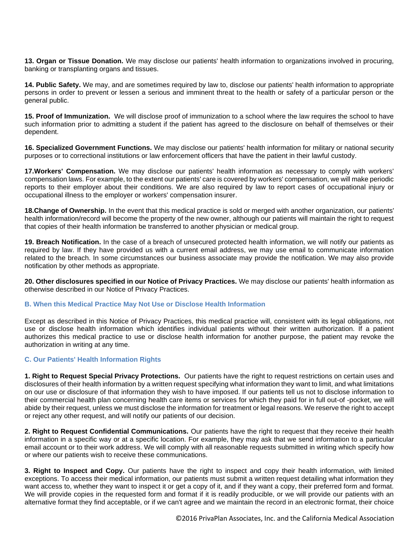**13. Organ or Tissue Donation.** We may disclose our patients' health information to organizations involved in procuring, banking or transplanting organs and tissues.

**14. Public Safety.** We may, and are sometimes required by law to, disclose our patients' health information to appropriate persons in order to prevent or lessen a serious and imminent threat to the health or safety of a particular person or the general public.

**15. Proof of Immunization.** We will disclose proof of immunization to a school where the law requires the school to have such information prior to admitting a student if the patient has agreed to the disclosure on behalf of themselves or their dependent.

**16. Specialized Government Functions.** We may disclose our patients' health information for military or national security purposes or to correctional institutions or law enforcement officers that have the patient in their lawful custody.

**17.Workers' Compensation.** We may disclose our patients' health information as necessary to comply with workers' compensation laws. For example, to the extent our patients' care is covered by workers' compensation, we will make periodic reports to their employer about their conditions. We are also required by law to report cases of occupational injury or occupational illness to the employer or workers' compensation insurer.

**18.Change of Ownership.** In the event that this medical practice is sold or merged with another organization, our patients' health information/record will become the property of the new owner, although our patients will maintain the right to request that copies of their health information be transferred to another physician or medical group.

**19. Breach Notification.** In the case of a breach of unsecured protected health information, we will notify our patients as required by law. If they have provided us with a current email address, we may use email to communicate information related to the breach. In some circumstances our business associate may provide the notification. We may also provide notification by other methods as appropriate.

**20. Other disclosures specified in our Notice of Privacy Practices.** We may disclose our patients' health information as otherwise described in our Notice of Privacy Practices.

#### **B. When this Medical Practice May Not Use or Disclose Health Information**

Except as described in this Notice of Privacy Practices, this medical practice will, consistent with its legal obligations, not use or disclose health information which identifies individual patients without their written authorization. If a patient authorizes this medical practice to use or disclose health information for another purpose, the patient may revoke the authorization in writing at any time.

#### **C. Our Patients' Health Information Rights**

**1. Right to Request Special Privacy Protections.** Our patients have the right to request restrictions on certain uses and disclosures of their health information by a written request specifying what information they want to limit, and what limitations on our use or disclosure of that information they wish to have imposed. If our patients tell us not to disclose information to their commercial health plan concerning health care items or services for which they paid for in full out-of -pocket, we will abide by their request, unless we must disclose the information for treatment or legal reasons. We reserve the right to accept or reject any other request, and will notify our patients of our decision.

**2. Right to Request Confidential Communications.** Our patients have the right to request that they receive their health information in a specific way or at a specific location. For example, they may ask that we send information to a particular email account or to their work address. We will comply with all reasonable requests submitted in writing which specify how or where our patients wish to receive these communications.

**3. Right to Inspect and Copy.** Our patients have the right to inspect and copy their health information, with limited exceptions. To access their medical information, our patients must submit a written request detailing what information they want access to, whether they want to inspect it or get a copy of it, and if they want a copy, their preferred form and format. We will provide copies in the requested form and format if it is readily producible, or we will provide our patients with an alternative format they find acceptable, or if we can't agree and we maintain the record in an electronic format, their choice